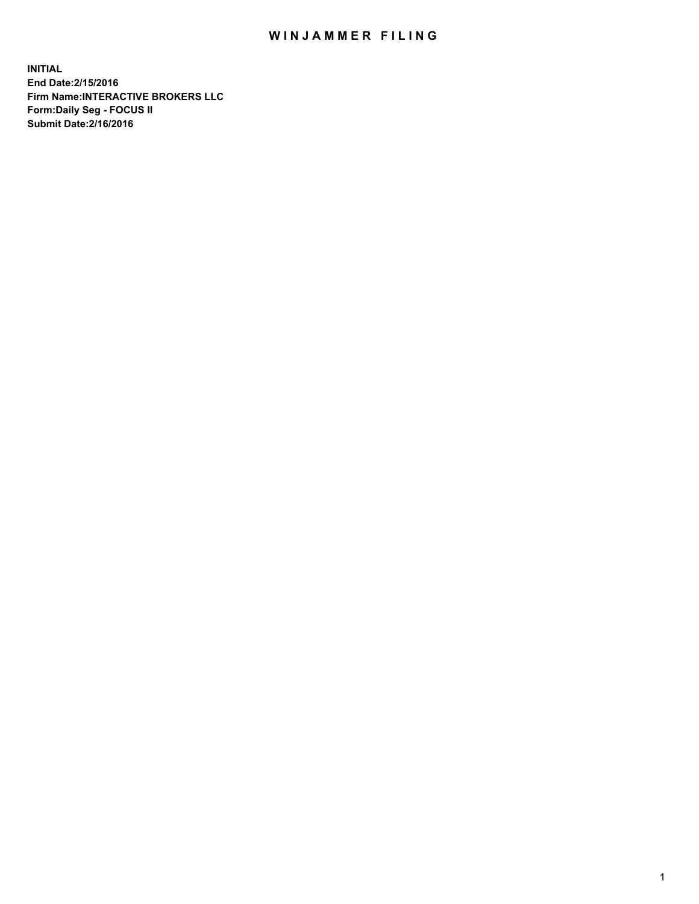## WIN JAMMER FILING

**INITIAL End Date:2/15/2016 Firm Name:INTERACTIVE BROKERS LLC Form:Daily Seg - FOCUS II Submit Date:2/16/2016**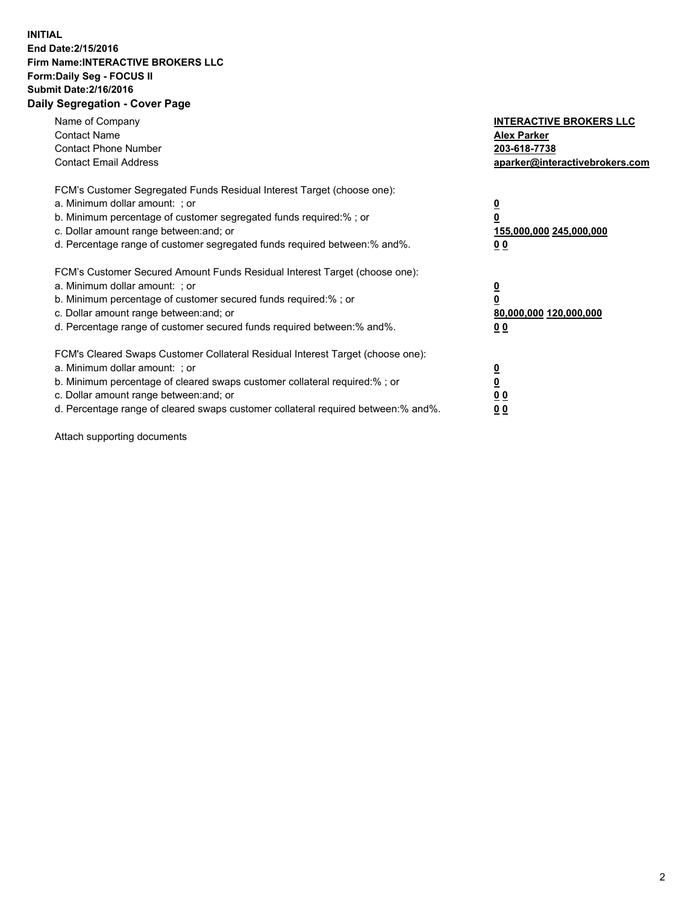## **INITIAL End Date:2/15/2016 Firm Name:INTERACTIVE BROKERS LLC Form:Daily Seg - FOCUS II Submit Date:2/16/2016 Daily Segregation - Cover Page**

| Name of Company<br><b>Contact Name</b><br><b>Contact Phone Number</b><br><b>Contact Email Address</b>                                                                                                                                                                                                                          | <b>INTERACTIVE BROKERS LLC</b><br><b>Alex Parker</b><br>203-618-7738<br>aparker@interactivebrokers.com |
|--------------------------------------------------------------------------------------------------------------------------------------------------------------------------------------------------------------------------------------------------------------------------------------------------------------------------------|--------------------------------------------------------------------------------------------------------|
| FCM's Customer Segregated Funds Residual Interest Target (choose one):<br>a. Minimum dollar amount: ; or<br>b. Minimum percentage of customer segregated funds required:% ; or<br>c. Dollar amount range between: and; or<br>d. Percentage range of customer segregated funds required between:% and%.                         | <u>0</u><br>155,000,000 245,000,000<br><u>00</u>                                                       |
| FCM's Customer Secured Amount Funds Residual Interest Target (choose one):<br>a. Minimum dollar amount: ; or<br>b. Minimum percentage of customer secured funds required:% ; or<br>c. Dollar amount range between: and; or<br>d. Percentage range of customer secured funds required between:% and%.                           | <u>0</u><br>80,000,000 120,000,000<br>0 <sub>0</sub>                                                   |
| FCM's Cleared Swaps Customer Collateral Residual Interest Target (choose one):<br>a. Minimum dollar amount: ; or<br>b. Minimum percentage of cleared swaps customer collateral required:% ; or<br>c. Dollar amount range between: and; or<br>d. Percentage range of cleared swaps customer collateral required between:% and%. | <u>0</u><br>0 <sub>0</sub><br>0 <sub>0</sub>                                                           |

Attach supporting documents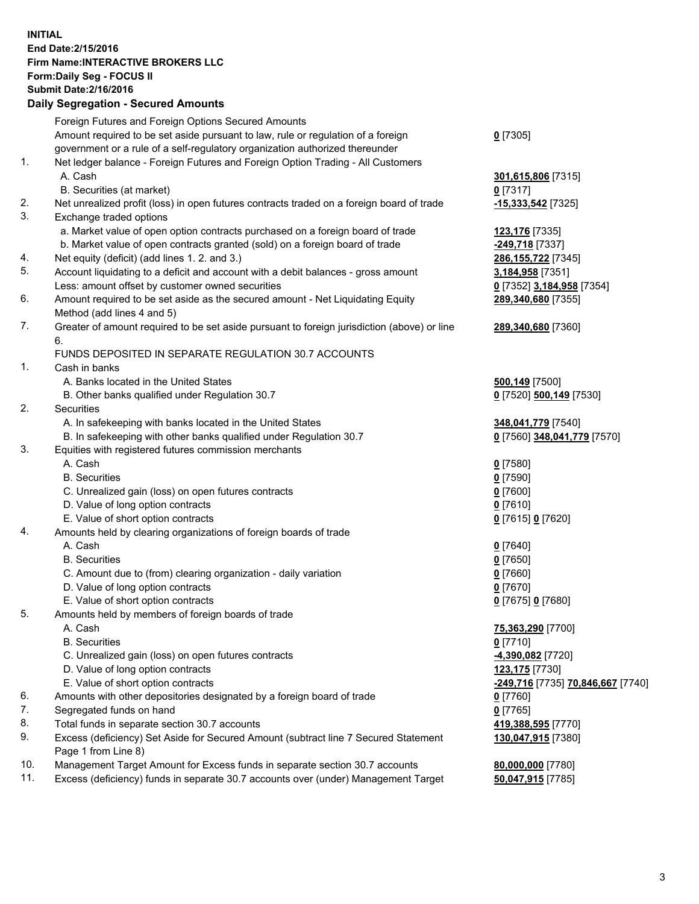## **INITIAL End Date:2/15/2016 Firm Name:INTERACTIVE BROKERS LLC Form:Daily Seg - FOCUS II Submit Date:2/16/2016 Daily Segregation - Secured Amounts**

|     | Daily Ocglegation - Occarea Anioants                                                        |                                   |
|-----|---------------------------------------------------------------------------------------------|-----------------------------------|
|     | Foreign Futures and Foreign Options Secured Amounts                                         |                                   |
|     | Amount required to be set aside pursuant to law, rule or regulation of a foreign            | $0$ [7305]                        |
|     | government or a rule of a self-regulatory organization authorized thereunder                |                                   |
| 1.  | Net ledger balance - Foreign Futures and Foreign Option Trading - All Customers             |                                   |
|     | A. Cash                                                                                     | 301,615,806 [7315]                |
|     | B. Securities (at market)                                                                   | $0$ [7317]                        |
| 2.  | Net unrealized profit (loss) in open futures contracts traded on a foreign board of trade   | $-15,333,542$ [7325]              |
| 3.  | Exchange traded options                                                                     |                                   |
|     | a. Market value of open option contracts purchased on a foreign board of trade              | 123,176 [7335]                    |
|     | b. Market value of open contracts granted (sold) on a foreign board of trade                | -249,718 [7337]                   |
| 4.  | Net equity (deficit) (add lines 1.2. and 3.)                                                | 286, 155, 722 [7345]              |
| 5.  | Account liquidating to a deficit and account with a debit balances - gross amount           | 3,184,958 [7351]                  |
|     | Less: amount offset by customer owned securities                                            | 0 [7352] 3,184,958 [7354]         |
| 6.  | Amount required to be set aside as the secured amount - Net Liquidating Equity              | 289,340,680 [7355]                |
|     | Method (add lines 4 and 5)                                                                  |                                   |
| 7.  | Greater of amount required to be set aside pursuant to foreign jurisdiction (above) or line | 289,340,680 [7360]                |
|     | 6.                                                                                          |                                   |
|     | FUNDS DEPOSITED IN SEPARATE REGULATION 30.7 ACCOUNTS                                        |                                   |
| 1.  | Cash in banks                                                                               |                                   |
|     | A. Banks located in the United States                                                       | 500,149 [7500]                    |
|     | B. Other banks qualified under Regulation 30.7                                              | 0 [7520] 500,149 [7530]           |
| 2.  | Securities                                                                                  |                                   |
|     | A. In safekeeping with banks located in the United States                                   | 348,041,779 [7540]                |
|     | B. In safekeeping with other banks qualified under Regulation 30.7                          | 0 [7560] 348,041,779 [7570]       |
| 3.  | Equities with registered futures commission merchants                                       |                                   |
|     | A. Cash                                                                                     | $0$ [7580]                        |
|     | <b>B.</b> Securities                                                                        | $0$ [7590]                        |
|     | C. Unrealized gain (loss) on open futures contracts                                         | $0$ [7600]                        |
|     | D. Value of long option contracts                                                           | $0$ [7610]                        |
|     | E. Value of short option contracts                                                          | 0 [7615] 0 [7620]                 |
| 4.  | Amounts held by clearing organizations of foreign boards of trade                           |                                   |
|     | A. Cash                                                                                     | $0$ [7640]                        |
|     | <b>B.</b> Securities                                                                        | $0$ [7650]                        |
|     | C. Amount due to (from) clearing organization - daily variation                             | $0$ [7660]                        |
|     | D. Value of long option contracts                                                           | $0$ [7670]                        |
|     | E. Value of short option contracts                                                          | 0 [7675] 0 [7680]                 |
| 5.  | Amounts held by members of foreign boards of trade                                          |                                   |
|     | A. Cash                                                                                     | 75,363,290 [7700]                 |
|     | <b>B.</b> Securities                                                                        | $0$ [7710]                        |
|     | C. Unrealized gain (loss) on open futures contracts                                         | -4,390,082 [7720]                 |
|     | D. Value of long option contracts                                                           | 123,175 [7730]                    |
|     | E. Value of short option contracts                                                          | -249,716 [7735] 70,846,667 [7740] |
| 6.  | Amounts with other depositories designated by a foreign board of trade                      | $0$ [7760]                        |
| 7.  | Segregated funds on hand                                                                    | $0$ [7765]                        |
| 8.  | Total funds in separate section 30.7 accounts                                               | 419,388,595 [7770]                |
| 9.  | Excess (deficiency) Set Aside for Secured Amount (subtract line 7 Secured Statement         | 130,047,915 [7380]                |
|     | Page 1 from Line 8)                                                                         |                                   |
| 10. | Management Target Amount for Excess funds in separate section 30.7 accounts                 | 80,000,000 [7780]                 |
| 11. | Excess (deficiency) funds in separate 30.7 accounts over (under) Management Target          | 50,047,915 [7785]                 |
|     |                                                                                             |                                   |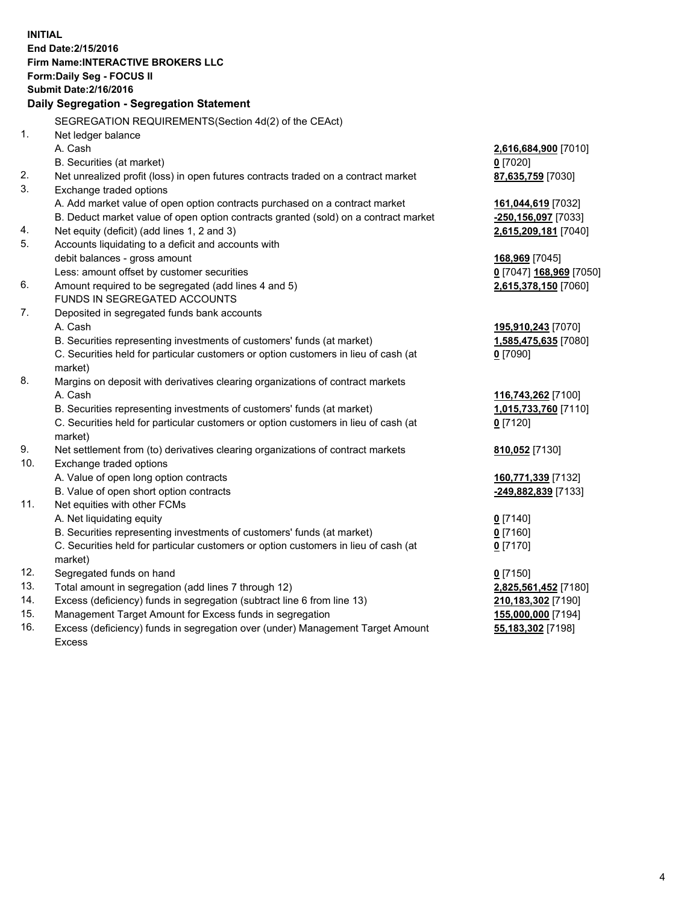**INITIAL End Date:2/15/2016 Firm Name:INTERACTIVE BROKERS LLC Form:Daily Seg - FOCUS II Submit Date:2/16/2016 Daily Segregation - Segregation Statement** SEGREGATION REQUIREMENTS(Section 4d(2) of the CEAct) 1. Net ledger balance A. Cash **2,616,684,900** [7010] B. Securities (at market) **0** [7020] 2. Net unrealized profit (loss) in open futures contracts traded on a contract market **87,635,759** [7030] 3. Exchange traded options A. Add market value of open option contracts purchased on a contract market **161,044,619** [7032] B. Deduct market value of open option contracts granted (sold) on a contract market **-250,156,097** [7033] 4. Net equity (deficit) (add lines 1, 2 and 3) **2,615,209,181** [7040] 5. Accounts liquidating to a deficit and accounts with debit balances - gross amount **168,969** [7045] Less: amount offset by customer securities **0** [7047] **168,969** [7050] 6. Amount required to be segregated (add lines 4 and 5) **2,615,378,150** [7060] FUNDS IN SEGREGATED ACCOUNTS 7. Deposited in segregated funds bank accounts A. Cash **195,910,243** [7070] B. Securities representing investments of customers' funds (at market) **1,585,475,635** [7080] C. Securities held for particular customers or option customers in lieu of cash (at market) **0** [7090] 8. Margins on deposit with derivatives clearing organizations of contract markets A. Cash **116,743,262** [7100] B. Securities representing investments of customers' funds (at market) **1,015,733,760** [7110] C. Securities held for particular customers or option customers in lieu of cash (at market) **0** [7120] 9. Net settlement from (to) derivatives clearing organizations of contract markets **810,052** [7130] 10. Exchange traded options A. Value of open long option contracts **160,771,339** [7132] B. Value of open short option contracts **-249,882,839** [7133] 11. Net equities with other FCMs A. Net liquidating equity **0** [7140] B. Securities representing investments of customers' funds (at market) **0** [7160] C. Securities held for particular customers or option customers in lieu of cash (at market) **0** [7170] 12. Segregated funds on hand **0** [7150] 13. Total amount in segregation (add lines 7 through 12) **2,825,561,452** [7180] 14. Excess (deficiency) funds in segregation (subtract line 6 from line 13) **210,183,302** [7190] 15. Management Target Amount for Excess funds in segregation **155,000,000** [7194] **55,183,302** [7198]

16. Excess (deficiency) funds in segregation over (under) Management Target Amount Excess